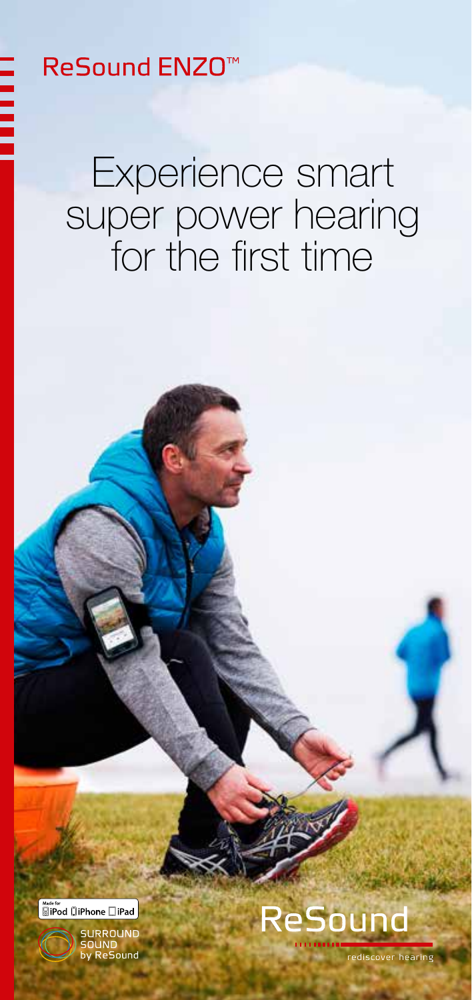### **ReSound ENZO<sup>™</sup>**

### Experience smart super power hearing for the first time



RROUN ReSound



rediscover hearing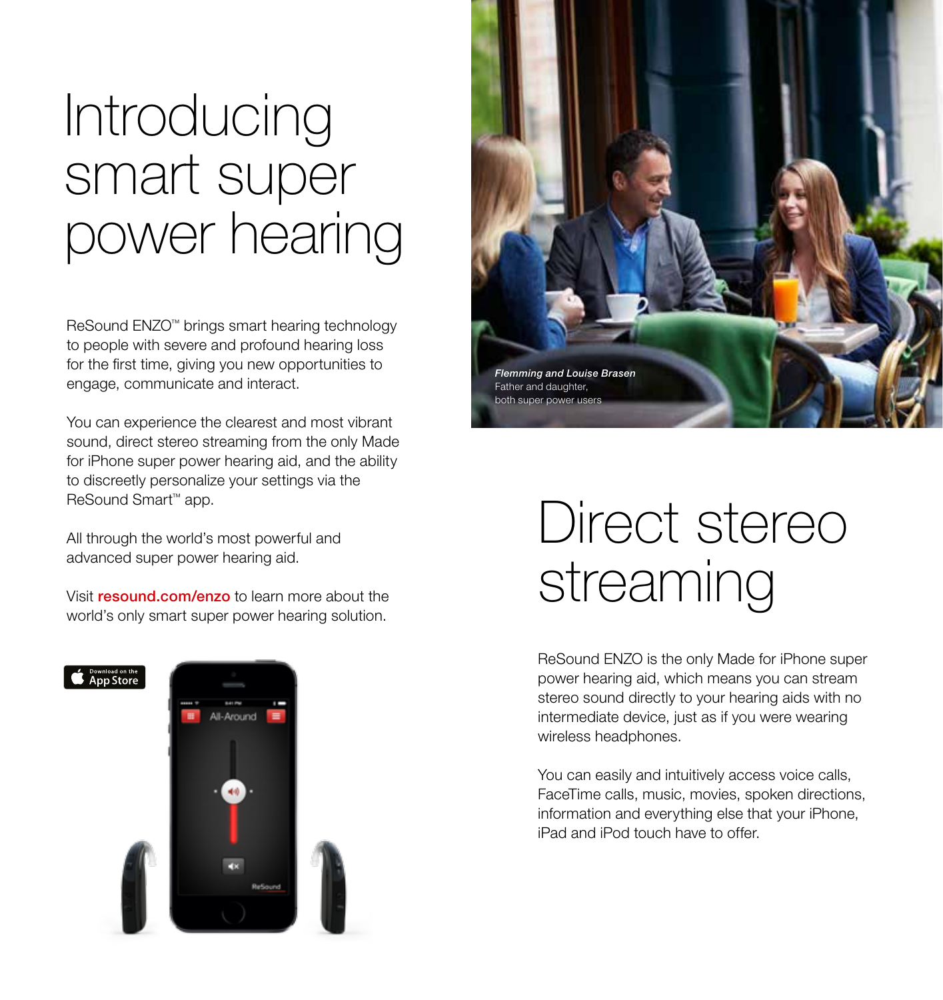## Introducing smart super power hearing

ReSound ENZO™ brings smart hearing technology to people with severe and profound hearing loss for the first time, giving you new opportunities to engage, communicate and interact.

You can experience the clearest and most vibrant sound, direct stereo streaming from the only Made for iPhone super power hearing aid, and the ability to discreetly personalize your settings via the ReSound Smart™ app.

All through the world's most powerful and advanced super power hearing aid.

Visit resound.com/enzo to learn more about the world's only smart super power hearing solution.





## Direct stereo streaming

ReSound ENZO is the only Made for iPhone super power hearing aid, which means you can stream stereo sound directly to your hearing aids with no intermediate device, just as if you were wearing wireless headphones.

You can easily and intuitively access voice calls, FaceTime calls, music, movies, spoken directions, information and everything else that your iPhone, iPad and iPod touch have to offer.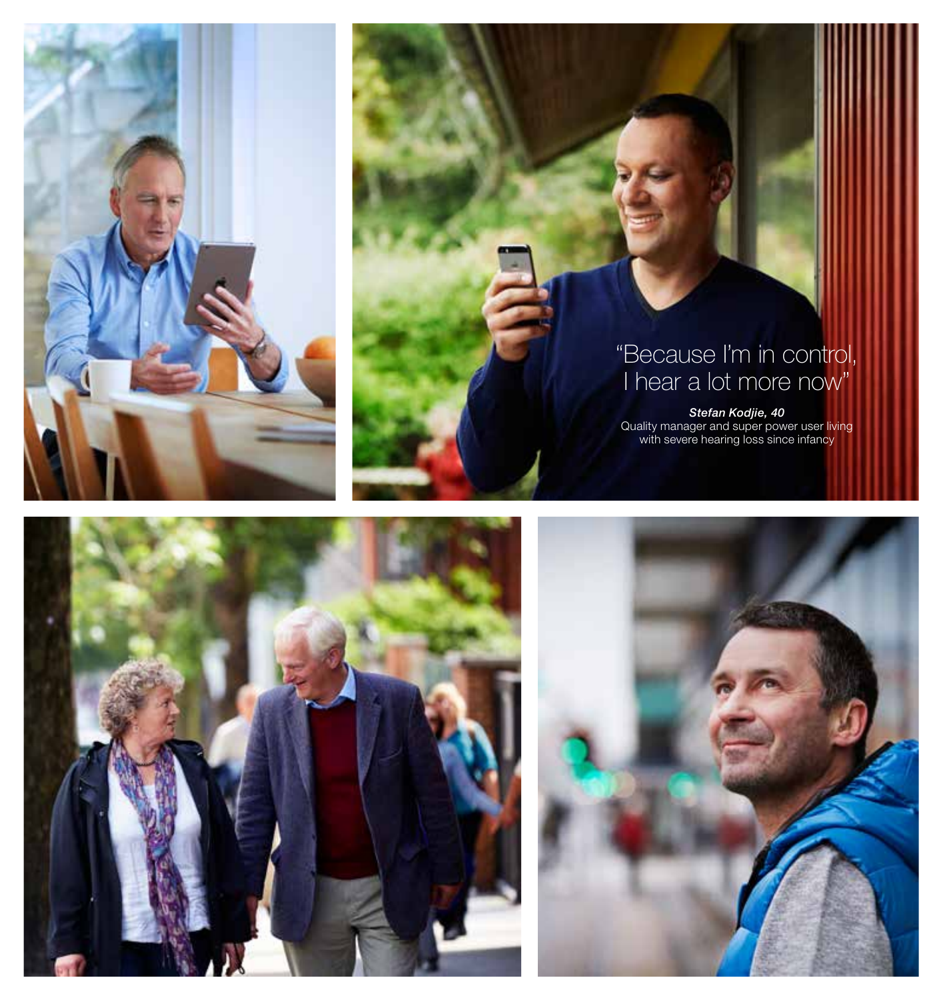

### "Because I'm in control, I hear a lot more now"

Stefan Kodjie, 40<br>Quality manager and super power user living with severe hearing loss since infancy



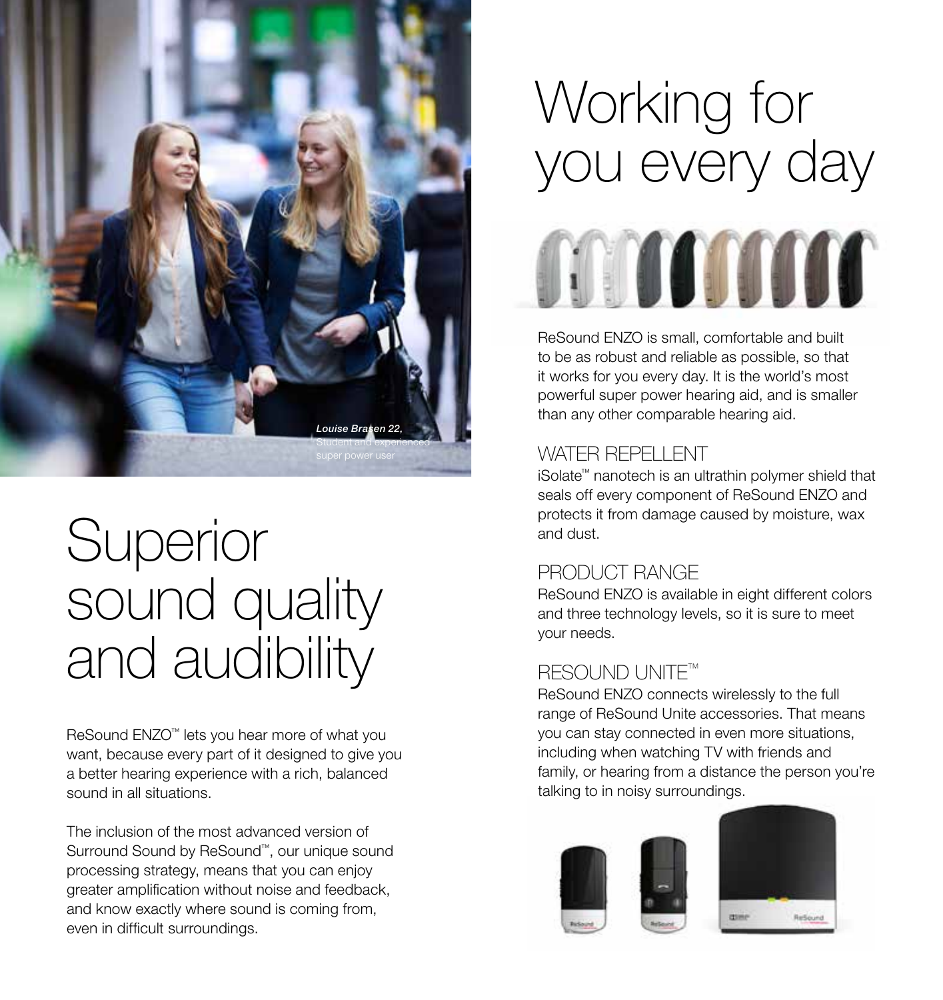

## Superior sound quality and audibility

ReSound ENZO™ lets you hear more of what you want, because every part of it designed to give you a better hearing experience with a rich, balanced sound in all situations.

The inclusion of the most advanced version of Surround Sound by ReSound™, our unique sound processing strategy, means that you can enjoy greater amplification without noise and feedback, and know exactly where sound is coming from, even in difficult surroundings.

# Working for you every day manara

ReSound ENZO is small, comfortable and built to be as robust and reliable as possible, so that it works for you every day. It is the world's most powerful super power hearing aid, and is smaller than any other comparable hearing aid.

### WATER REPELLENT

iSolate™ nanotech is an ultrathin polymer shield that seals off every component of ReSound ENZO and protects it from damage caused by moisture, wax and dust.

### PRODUCT RANGE

ReSound ENZO is available in eight different colors and three technology levels, so it is sure to meet your needs.

### **RESOUND UNITE™**

ReSound ENZO connects wirelessly to the full range of ReSound Unite accessories. That means you can stay connected in even more situations, including when watching TV with friends and family, or hearing from a distance the person you're talking to in noisy surroundings.